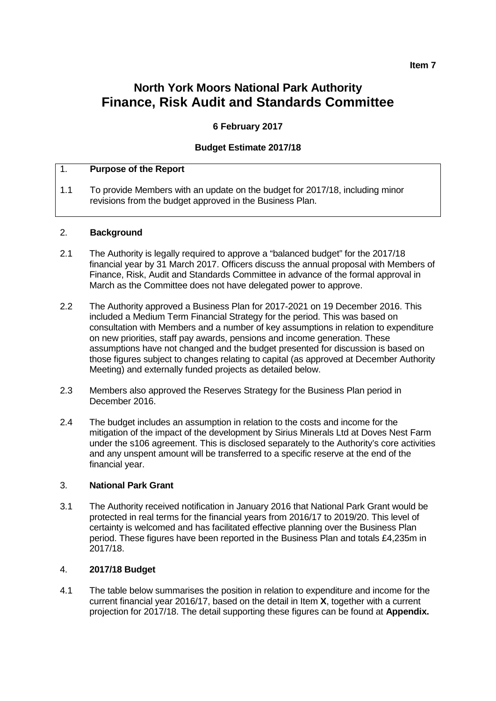# **North York Moors National Park Authority Finance, Risk Audit and Standards Committee**

# **6 February 2017**

## **Budget Estimate 2017/18**

# 1. **Purpose of the Report**

1.1 To provide Members with an update on the budget for 2017/18, including minor revisions from the budget approved in the Business Plan.

## 2. **Background**

- 2.1 The Authority is legally required to approve a "balanced budget" for the 2017/18 financial year by 31 March 2017. Officers discuss the annual proposal with Members of Finance, Risk, Audit and Standards Committee in advance of the formal approval in March as the Committee does not have delegated power to approve.
- 2.2 The Authority approved a Business Plan for 2017-2021 on 19 December 2016. This included a Medium Term Financial Strategy for the period. This was based on consultation with Members and a number of key assumptions in relation to expenditure on new priorities, staff pay awards, pensions and income generation. These assumptions have not changed and the budget presented for discussion is based on those figures subject to changes relating to capital (as approved at December Authority Meeting) and externally funded projects as detailed below.
- 2.3 Members also approved the Reserves Strategy for the Business Plan period in December 2016.
- 2.4 The budget includes an assumption in relation to the costs and income for the mitigation of the impact of the development by Sirius Minerals Ltd at Doves Nest Farm under the s106 agreement. This is disclosed separately to the Authority's core activities and any unspent amount will be transferred to a specific reserve at the end of the financial year.

#### 3. **National Park Grant**

3.1 The Authority received notification in January 2016 that National Park Grant would be protected in real terms for the financial years from 2016/17 to 2019/20. This level of certainty is welcomed and has facilitated effective planning over the Business Plan period. These figures have been reported in the Business Plan and totals £4,235m in 2017/18.

## 4. **2017/18 Budget**

4.1 The table below summarises the position in relation to expenditure and income for the current financial year 2016/17, based on the detail in Item **X**, together with a current projection for 2017/18. The detail supporting these figures can be found at **Appendix.**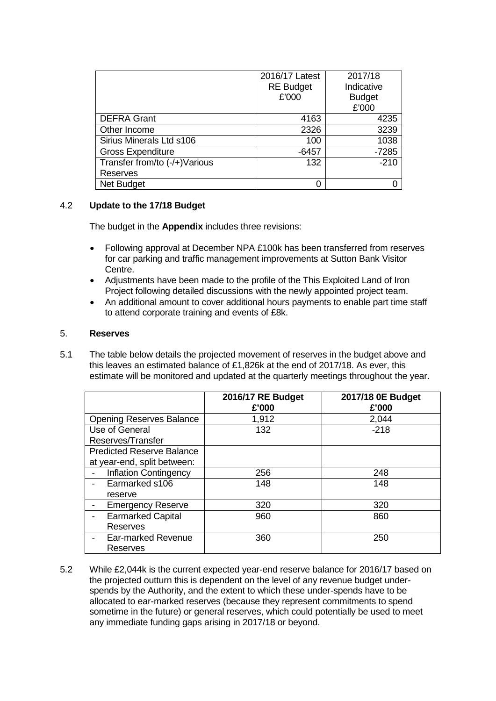|                                | 2016/17 Latest   | 2017/18<br>Indicative<br><b>Budget</b> |  |
|--------------------------------|------------------|----------------------------------------|--|
|                                | <b>RE Budget</b> |                                        |  |
|                                | £'000            |                                        |  |
|                                |                  | £'000                                  |  |
| <b>DEFRA Grant</b>             | 4163             | 4235                                   |  |
| Other Income                   | 2326             | 3239                                   |  |
| Sirius Minerals Ltd s106       | 100              | 1038                                   |  |
| <b>Gross Expenditure</b>       | $-6457$          | $-7285$                                |  |
| Transfer from/to (-/+) Various | 132              | $-210$                                 |  |
| <b>Reserves</b>                |                  |                                        |  |
| <b>Net Budget</b>              | O                |                                        |  |

## 4.2 **Update to the 17/18 Budget**

The budget in the **Appendix** includes three revisions:

- Following approval at December NPA £100k has been transferred from reserves for car parking and traffic management improvements at Sutton Bank Visitor Centre.
- Adjustments have been made to the profile of the This Exploited Land of Iron Project following detailed discussions with the newly appointed project team.
- An additional amount to cover additional hours payments to enable part time staff to attend corporate training and events of £8k.

## 5. **Reserves**

5.1 The table below details the projected movement of reserves in the budget above and this leaves an estimated balance of £1,826k at the end of 2017/18. As ever, this estimate will be monitored and updated at the quarterly meetings throughout the year.

|                                  | 2016/17 RE Budget<br>£'000 | 2017/18 0E Budget<br>£'000 |
|----------------------------------|----------------------------|----------------------------|
| <b>Opening Reserves Balance</b>  | 1,912                      | 2,044                      |
| Use of General                   | 132                        | $-218$                     |
| Reserves/Transfer                |                            |                            |
| <b>Predicted Reserve Balance</b> |                            |                            |
| at year-end, split between:      |                            |                            |
| <b>Inflation Contingency</b>     | 256                        | 248                        |
| Earmarked s106                   | 148                        | 148                        |
| reserve                          |                            |                            |
| <b>Emergency Reserve</b>         | 320                        | 320                        |
| <b>Earmarked Capital</b>         | 960                        | 860                        |
| <b>Reserves</b>                  |                            |                            |
| Ear-marked Revenue               | 360                        | 250                        |
| Reserves                         |                            |                            |

5.2 While £2,044k is the current expected year-end reserve balance for 2016/17 based on the projected outturn this is dependent on the level of any revenue budget underspends by the Authority, and the extent to which these under-spends have to be allocated to ear-marked reserves (because they represent commitments to spend sometime in the future) or general reserves, which could potentially be used to meet any immediate funding gaps arising in 2017/18 or beyond.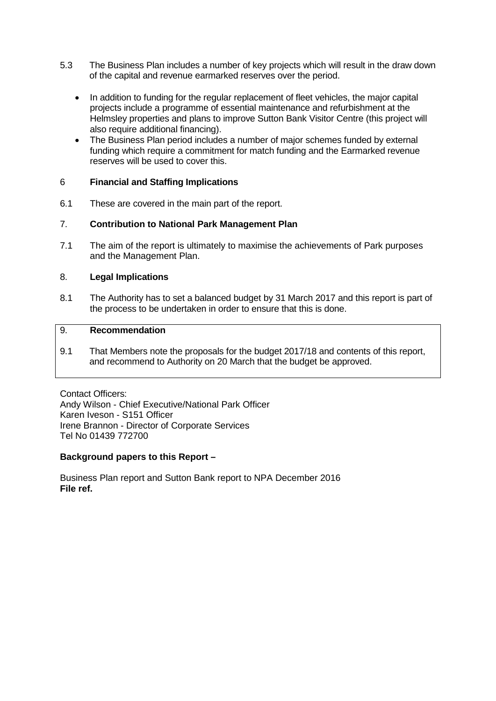- 5.3 The Business Plan includes a number of key projects which will result in the draw down of the capital and revenue earmarked reserves over the period.
	- In addition to funding for the regular replacement of fleet vehicles, the major capital projects include a programme of essential maintenance and refurbishment at the Helmsley properties and plans to improve Sutton Bank Visitor Centre (this project will also require additional financing).
	- The Business Plan period includes a number of major schemes funded by external funding which require a commitment for match funding and the Earmarked revenue reserves will be used to cover this.

## 6 **Financial and Staffing Implications**

6.1 These are covered in the main part of the report.

## 7. **Contribution to National Park Management Plan**

7.1 The aim of the report is ultimately to maximise the achievements of Park purposes and the Management Plan.

## 8. **Legal Implications**

8.1 The Authority has to set a balanced budget by 31 March 2017 and this report is part of the process to be undertaken in order to ensure that this is done.

#### 9. **Recommendation**

9.1 That Members note the proposals for the budget 2017/18 and contents of this report, and recommend to Authority on 20 March that the budget be approved.

Contact Officers: Andy Wilson - Chief Executive/National Park Officer Karen Iveson - S151 Officer Irene Brannon - Director of Corporate Services Tel No 01439 772700

#### **Background papers to this Report –**

Business Plan report and Sutton Bank report to NPA December 2016 **File ref.**